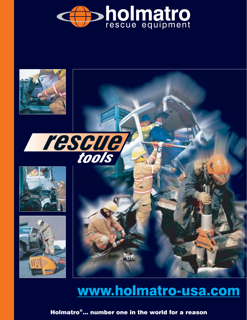











# www.holmatro-usa.com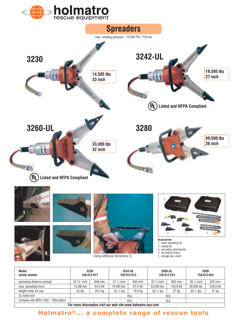









Using cutting tip (Accessory 2)



**Accessories:**

- 1 spare spreading tip
- 2 cutting tip<br>3 set pulling set pulling attachments
- 
- 4 set pulling chains<br>5 storage box, small

| Model<br>article number                | 3230<br>158.012.017 |           | 3242-UL<br>158.012.013 |            | 3260-UL<br>158.012.014 |            | 3280<br>158.012.024  |          |
|----------------------------------------|---------------------|-----------|------------------------|------------|------------------------|------------|----------------------|----------|
| spreading distance (actual)            | $33^{3}/8$ inch     | 848 mm    | $27\frac{1}{4}$ inch   | 692 mm     | $32\frac{3}{4}$ inch   | 832 mm     | $26\frac{1}{2}$ inch | 675 mm   |
| max. spreading force                   | 14.585 lbs          | 64.9 kN   | 19.595 lbs             | 87.2 kN    | 33,000 lbs             | 146.8 kN   | 49,500 lbs           | 220.0 kN |
| weight ready for use                   | 45 lbs              | $20.5$ kg | $42\frac{1}{2}$ lbs    | 19.5 kg    | 58 $\frac{1}{2}$ lbs   | 27 kg      | 59 $\frac{1}{2}$ lbs | 27 kg    |
| UL listed tool                         |                     |           |                        | <b>YES</b> |                        | YES        |                      |          |
| Complies with NFPA 1936 - 1999 edition |                     |           |                        | <b>YES</b> |                        | <b>YES</b> |                      |          |
|                                        |                     |           |                        |            |                        |            |                      |          |

**For more information visit our web site www.holmatro-usa.com**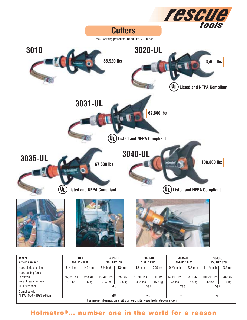

| Model<br>article number                                      | 3010                | 158.012.033 | 3020-UL              | 158.012.012 |                     | 3031-UL<br>158.012.015 | 3035-UL             | 158.012.032 | 3040-UL       | 158.012.028 |
|--------------------------------------------------------------|---------------------|-------------|----------------------|-------------|---------------------|------------------------|---------------------|-------------|---------------|-------------|
| max. blade opening                                           | $5\frac{5}{8}$ inch | $142$ mm    | $5\frac{1}{4}$ inch  | 134 mm      | 12 inch             | 305 mm                 | $9\frac{3}{8}$ inch | 238 mm      | 11 $1/8$ inch | 283 mm      |
| max. cutting force<br>in recess                              | 56.920 lbs          | 253 kN      | 63,400 lbs           | 282 kN      | 67,600 lbs          | 301 kN                 | 67,600 lbs          | 301 kN      | 100,800 lbs   | 448 kN      |
| weight ready for use                                         | 21 lbs              | 9.5 kg      | $27 \frac{1}{2}$ lbs | $12.5$ kg   | $34\frac{1}{2}$ lbs | $15.5$ kg              | 34 lbs              | 15.4 ka     | 42 lbs        | 19 kg       |
| UL Listed tool                                               |                     |             | <b>YES</b>           |             | YES                 |                        | <b>YES</b>          |             | <b>YES</b>    |             |
| Complies with<br>NFPA 1936 - 1999 edition                    |                     |             | YES                  |             | YES                 |                        | YES                 |             | <b>YES</b>    |             |
| For more information visit our web site www.holmatro-usa.com |                     |             |                      |             |                     |                        |                     |             |               |             |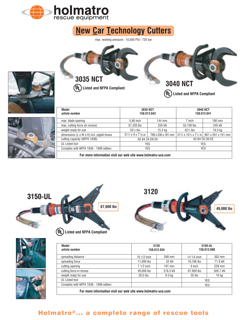

# **New Car Technology Cutters**

max. working pressure: 10,500 PSI / 720 bar







| Model<br>article number                                       | 3035 NCT<br>158.012.042                    |                    | <b>3040 NCT</b><br>158.012.041 |                                        |  |
|---------------------------------------------------------------|--------------------------------------------|--------------------|--------------------------------|----------------------------------------|--|
| max. blade opening                                            | 5.66 inch                                  | 144 mm             | 7 inch                         | $180$ mm                               |  |
| max. cutting force (in recess)                                | 57.320 lbs                                 | 255 kN             | 55,100 lbs                     | 245 kN                                 |  |
| weight ready for use                                          | $33\frac{1}{2}$ lbs                        | $15.2$ kg          | $42\%$ lbs                     | 19.3 kg                                |  |
| dimensions (L x W x H) incl. pigtail hoses                    | $31\frac{1}{2} \times 9 \times 7^{1}/8$ in | 799 x 230 x 181 mm |                                | 31% x 10% x 7% in   807 x 261 x 191 mm |  |
| cutting capacity (NFPA 1936)                                  |                                            | A5 B4 C6 D6 E6     | A5 B4 C6 D6 E6                 |                                        |  |
| UL Listed tool                                                | YES                                        |                    |                                | <b>YES</b>                             |  |
| Complies with NFPA 1936 - 1999 edition                        | YES                                        |                    |                                | <b>YES</b>                             |  |
| Fax maxa infarmation viait any wah aita wuxu halmatus yaa sam |                                            |                    |                                |                                        |  |

**For more information visit our web site www.holmatro-usa.com**





| Model<br>article number                                      |               | 3120<br>158.012.034 |             | 3150-UL<br>158.012.008 |  |
|--------------------------------------------------------------|---------------|---------------------|-------------|------------------------|--|
| spreading distance                                           | 10 $1/2$ inch | 268 mm              | 14 1/4 inch | 362 mm                 |  |
| spreading force                                              | 11.690 lbs    | 52 kN               | 16,166 lbs  | 71.9 kN                |  |
| cutting opening                                              | $71/2$ inch   | $191$ mm            | 9 inch      | 228 mm                 |  |
| cutting force in recess                                      | 49,000 lbs    | 218.3 kN            | 67,600 lbs  | 300.7 kN               |  |
| weight ready for use                                         | $20.5$ lbs    | 9.3 kg              | $35$ lbs    | 16 kg                  |  |
| UL Listed tool                                               |               |                     |             | YES                    |  |
| Complies with NFPA 1936 - 1999 edition                       |               |                     |             | <b>YES</b>             |  |
| Fer more information vioit our web eite www.belmatre.use.com |               |                     |             |                        |  |

**For more information visit our web site www.holmatro-usa.com**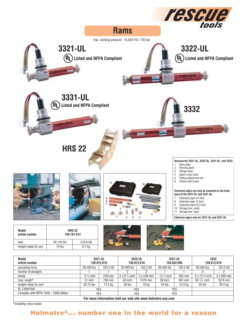

stroke max. length\* weight ready for use\* UL Listed tool Complies with NFPA 1936 - 1999 edition 249 mm 788 mm 13.5 kg 2 x 249 mm 1270 mm 18 kg 350 mm 991 mm 15.5 kg 2 x 350 mm 1674 mm 20.5 kg 9 ¾ inch 31 inch 29.75 lbs 2 x 9 ¾ inch 50 inch 39 lbs 13 ¾ inch 39 inch 34 lbs 2 x 13 ¾ inch 65 7/8 inch 45 lbs YES YES YES YES YES YES **For more information visit our web site www.holmatro-usa.com**

\*including cross heads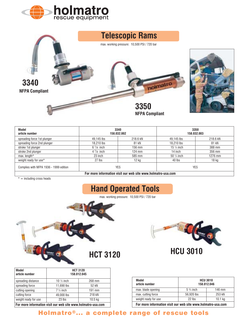





| Model<br>article number                                      | 3340<br>158.032.002 |                  | 3350<br>158.032.003   |          |
|--------------------------------------------------------------|---------------------|------------------|-----------------------|----------|
| spreading force 1st plunger                                  | 49.145 lbs          | 218.6 kN         | 49.145 lbs            | 218.6 kN |
| spreading force 2nd plunger                                  | 18.210 lbs          | 81 kN            | 18,210 lbs            | 81 kN    |
| stroke 1st plunger                                           | $6\frac{1}{8}$ inch | 156 mm           | 15 $\frac{1}{4}$ inch | 388 mm   |
| stroke 2nd plunger                                           | $47/8$ inch         | $124 \text{ mm}$ | 14 inch               | 356 mm   |
| max. length*                                                 | 23 inch             | 585 mm           | $50\frac{1}{4}$ inch  | 1276 mm  |
| weight ready for use*                                        | $27$ lbs            | 12 <sub>kg</sub> | 40 lbs                | 18 kg    |
| Complies with NFPA 1936 - 1999 edition                       | YES                 |                  | <b>YES</b>            |          |
| For more information visit our web site www.holmatro-usa.com |                     |                  |                       |          |

 $* =$  including cross heads

# **Hand Operated Tools**

max. working pressure: 10,500 PSI / 720 bar



| Model<br><b>HCT 3120</b><br>158.012.045<br>article number |                                                              |                    |                                                              |                                |                    |
|-----------------------------------------------------------|--------------------------------------------------------------|--------------------|--------------------------------------------------------------|--------------------------------|--------------------|
| spreading distance                                        | 10 $\frac{1}{2}$ inch                                        | 268 mm             | Model                                                        | <b>HCU 3010</b><br>158.012.046 |                    |
| spreading force                                           | 11.690 lbs                                                   | 52 kN              | article number                                               |                                |                    |
| cutting opening                                           | $7\frac{1}{2}$ inch                                          | 191 mm             | max. blade opening                                           | $5\frac{3}{4}$ inch            | 146 mm             |
| cutting force                                             | 49,000 lbs                                                   | 218 kN             | max. cutting force                                           | 56,920 lbs                     | 253 kN             |
| weight ready for use                                      | $23$ lbs                                                     | 10.5 <sub>kg</sub> | weight ready for use                                         | 22 lbs                         | 10.1 <sub>kg</sub> |
|                                                           | For more information visit our web site www.holmatro-usa.com |                    | For more information visit our web site www.holmatro-usa.com |                                |                    |



**HCU 3010**

| 10 $\frac{1}{2}$ inch | 268 mm                          | Model                                                        | <b>HCU 3010</b>     |                    |
|-----------------------|---------------------------------|--------------------------------------------------------------|---------------------|--------------------|
| 11.690 lbs            | 52 kN                           | article number                                               |                     | 158.012.046        |
| 7 ½ inch              | 191 mm                          | max. blade opening                                           | $5\frac{3}{4}$ inch | 146 mm             |
| 49.000 lbs            | 218 kN                          | max. cutting force                                           | 56,920 lbs          | 253 kN             |
| $23$ lbs              | 10.5 kg                         | weight ready for use                                         | 22 lbs              | 10.1 <sub>kg</sub> |
|                       | r web site www holmatro-usa com | For more information visit our web site www holmatro-usa com |                     |                    |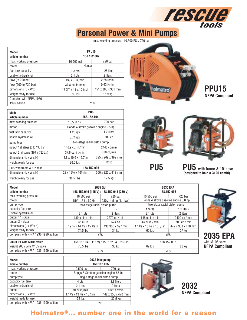# **Tescue Personal Power & Mini Pumps**

max. working pressure: 10,500 PSI / 720 bar

| Model<br>article number            | PPU <sub>15</sub><br>158.152.087 |                    |  |
|------------------------------------|----------------------------------|--------------------|--|
| max. working pressure              | 10,500 psi                       | 720 bar            |  |
| motor                              | Honda                            |                    |  |
| fuel tank capacity                 | $1.3$ gts                        | 1.25 liters        |  |
| usable hydraulic oil               | $2.1$ gts                        | 2 liters           |  |
| flow (to 200 bar)                  | 139 cu. in./min                  | $2.28$ $Vmin$      |  |
| flow (200 to 720 bar)              | 37.8 cu. in./min                 | $0.62$ $Vmin$      |  |
| dimensions $(L \times W \times H)$ | 17 3/4 x 12 x 15 inch            | 451 x 305 x 381 mm |  |
| weight ready for use               | $35$ lbs                         | 15.9 kg            |  |
| Complies with NFPA 1936            |                                  |                    |  |
| 1999 edition                       |                                  | YES                |  |

| Model<br>article number            | PU5<br>158.152.104                                |                                       |  |  |
|------------------------------------|---------------------------------------------------|---------------------------------------|--|--|
| max. working pressure              | $10,500$ psi                                      | 720 bar                               |  |  |
| motor                              |                                                   | Honda 4 stroke gasoline engine 2.5 hp |  |  |
| fuel tank capacity                 | $1.26$ ats                                        | 1.2 liters                            |  |  |
| usable hydraulic oil               | $0.74$ ats                                        | 700 cc                                |  |  |
| pump type                          | two-stage radial piston pump                      |                                       |  |  |
| output 1st stage (0 to 190 bar)    | 148.9 cu. in./min                                 | $2440$ cc/min                         |  |  |
| output 2nd stage (190 to 720 bar)  | $37.8$ cu. in./min                                | $620$ cc/min                          |  |  |
| dimensions $(L \times W \times H)$ | 12.8 x 10.6 x 15.7 in                             | 325 x 269 x 399 mm                    |  |  |
| weight ready for use               | $26.5$ lbs                                        | 12 kg                                 |  |  |
| PU5 with frame & 10' hose          | 158.152.095                                       |                                       |  |  |
| dimensions $(L \times W \times H)$ | $22 \times 12\frac{3}{4} \times 16\frac{1}{4}$ in | 560 x 322 x 413 mm                    |  |  |
| weight ready for use               | $38.5$ lbs                                        | 17.5 kg                               |  |  |



**NFPA Compliant PPU15**



**PU5**



**PU5 with frame & 10' hose (designed to hold a 3120 combi)**

**NFPA Compliant**

with M105 valve

**2035 EPA**

| Model<br>article number              | 2035 GU<br>158.152.046 (115 V) / 158.152.048 (230 V) |                       | 2035 EPA<br>158.152.096               |                    |  |
|--------------------------------------|------------------------------------------------------|-----------------------|---------------------------------------|--------------------|--|
| max. working pressure                | $10.500$ psi                                         | 720 bar               | 10.500 psi                            | 720 bar            |  |
| motor                                | 115V, 1.5 hp 60 Hz                                   | 230V, 1.5 hp (1.1 kW) | Honda 4 stroke gasoline engine 3.0 hp |                    |  |
| pump type                            | two-stage radial piston pump                         |                       | two-stage radial piston pump          |                    |  |
| capacity fuel tank                   |                                                      |                       | $1.3$ gts                             | 1.2 liters         |  |
| usable hydraulic oil                 | $2.1$ gts                                            | 2 liters              | $2.1$ ats                             | 2 liters           |  |
| output 1 <sup>st</sup> stage         | 139 cu in / min                                      | 2270 cc / min         | 146 cu in $/$ min                     | 2400 cc / min      |  |
| output 2 <sup>nd</sup> stage         | 35 cu in                                             | 574 cc                | 43 cu in / min                        | $700$ cc / min     |  |
| dimensions $(L \times W \times H)$   | 19 1/2 x 14 3/8 x 15 5/8 in                          | 496 366 x 397 mm      | 17 3/8 x 13 7/8 x 18 1/2 in           | 442 x 353 x 470 mm |  |
| weight ready for use                 | 74.5 lbs                                             | 34 kg                 | 60 lbs                                | 27 kg              |  |
| complies with NFPA 1936 1999 edition | <b>YES</b>                                           |                       | <b>YES</b>                            |                    |  |
|                                      |                                                      |                       |                                       |                    |  |
| 2035EPA with M105 valve              | 158.152.047 (115 V) / 158.152.049 (230 V)            |                       | 158.152.097                           |                    |  |
| weight 2035 with M105 valve          | 76.5 lbs                                             | 35 kg                 | 62 lbs                                | 28 kg              |  |
| complies with NFPA 1936 1999 edition | <b>YES</b>                                           |                       | <b>YES</b>                            |                    |  |

| Model<br>article number              | 2032 Mini pump<br>150.152.065            |                    |  |  |
|--------------------------------------|------------------------------------------|--------------------|--|--|
| max. working pressure                | 10.500 psi                               | 720 bar            |  |  |
| motor                                | Briggs & Stratton gasoline engine 3.5 hp |                    |  |  |
| pump type                            | single stage radial piston pump          |                    |  |  |
| capacity fuel tank                   | 4 gts                                    | 3.8 liters         |  |  |
| usable hydraulic oil                 | $2.1$ ats                                | 2 liters           |  |  |
| output                               | 80 cu in/min                             | 1325 cc/min        |  |  |
| dimensions $(L \times W \times H)$   | 17 3/8 x 13 7/8 x 18 1/2 in              | 442 x 353 x 470 mm |  |  |
| weight ready for use                 | 72 lbs                                   | 32.5 kg            |  |  |
| complies with NFPA 1936 1999 edition | <b>YES</b>                               |                    |  |  |



**NFPA Compliant 2032**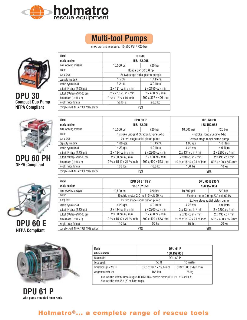



max. working pressure: 10,500 PSI / 720 bar



**DPU 30 Compact Duo Pump NFPA Compliant**



**DPU 60 PH NFPA Compliant**



| <b>DPU 60 E</b>       |  |
|-----------------------|--|
| <b>NFPA Compliant</b> |  |



**DPU 61 P with pump mounted hose reels**

| Model<br>article number                   | DPU30<br>158.152.098                           |                    |  |  |  |  |
|-------------------------------------------|------------------------------------------------|--------------------|--|--|--|--|
|                                           |                                                |                    |  |  |  |  |
| max. working pressure                     | 10,500 psi                                     | 720 bar            |  |  |  |  |
| motor                                     |                                                | Honda GX100 3.0 hp |  |  |  |  |
| pump type                                 | 2x two stage radial piston pumps               |                    |  |  |  |  |
| capacity fuel tank                        | $1.5$ gts                                      | 1.4 liters         |  |  |  |  |
| usable hydraulic oil                      | $3.2$ gts                                      | 3.0 liters         |  |  |  |  |
| output 1 <sup>st</sup> stage (2,900 psi)  | $2 \times 131$ cu in / min                     | 2 x 2150 cc / min  |  |  |  |  |
| output 2 <sup>nd</sup> stage (10,500 psi) | 2 x 27.5 cu in / min                           | 2 x 450 cc / min   |  |  |  |  |
| dimensions $(L \times W \times H)$        | 19 5/8 x 131/4 x 16 inch<br>500 x 337 x 406 mm |                    |  |  |  |  |
| weight ready for use                      | 26.3 kg<br>58 lb s                             |                    |  |  |  |  |
| complies with NFPA 1936 1999 edition      | <b>YES</b>                                     |                    |  |  |  |  |

| Model<br>article number                   | <b>DPU 60 P</b><br>158.152.051         |                          | DPU 60 PH<br>158.152.052        |                            |  |
|-------------------------------------------|----------------------------------------|--------------------------|---------------------------------|----------------------------|--|
| max. working pressure                     | 10,500 psi                             | 720 bar                  | $10,500$ psi                    | 720 bar                    |  |
| motor                                     | 4 stroke Briggs & Stratton Engine 5-hp |                          |                                 | 4 stroke Honda Engine 4-hp |  |
| pump type                                 | 2x two stage radial piston pump        |                          | 2x two stage radial piston pump |                            |  |
| capacity fuel tank                        | 1.06 gts                               | 1.0 liters               | 1.06 gts                        | 1.0 liters                 |  |
| usable hydraulic oil                      | $4.23$ gts                             | 4.0 liters               | 4.23 gts                        | 4.0 liters                 |  |
| output 1 <sup>st</sup> stage (2,200 psi)  | $2 \times 134$ cu in / min             | $2 \times 2200$ cc / min | $2 \times 134$ cu in / min      | 2 x 2200 cc / min          |  |
| output 2 <sup>nd</sup> stage (10,500 psi) | $2 \times 30$ cu in / min              | $2 \times 490$ cc / min  | $2 \times 30$ cu in / min       | $2 \times 490$ cc / min    |  |
| dimensions $(L \times W \times H)$        | 19 3/4 x 15 3/4 x 21 3/4 inch          | 502 x 400 x 553 mm       |                                 | 502 x 400 x 553 mm         |  |
| weight ready for use                      | $103$ lbs<br>46.8 kg                   |                          | $106$ lbs                       | 48 kg                      |  |
| complies with NFPA 1936 1999 edition      | YES                                    |                          |                                 | <b>YES</b>                 |  |

| Model<br>article number                   | <b>DPU 60 E 115 V</b>           | 158.152.053                          | <b>DPU 60 E 230 V</b><br>158.152.054 |                                      |  |
|-------------------------------------------|---------------------------------|--------------------------------------|--------------------------------------|--------------------------------------|--|
| max. working pressure                     | $10,500$ psi                    | 720 bar                              | 10,500 psi                           | 720 bar                              |  |
| motor                                     |                                 | Electric motor 2.0 hp 115 volt 60 Hz |                                      | Electric motor 2.0 hp 230 volt 60 Hz |  |
| pump type                                 | 2x two stage radial piston pump |                                      | 2x two stage radial piston pump      |                                      |  |
| usable hydraulic oil                      | 4.23 gts                        | 4.0 liters                           | $4.23$ gts                           | 4.0 liters                           |  |
| output 1st stage (2,200 psi)              | $2 \times 134$ cu in / min      | 2 x 2200 cc / min                    | $2 \times 134$ cu in / min           | 2 x 2200 cc / min                    |  |
| output 2 <sup>nd</sup> stage (10,500 psi) | $2 \times 30$ cu in / min       | $2 \times 490$ cc / min              | $2 \times 30$ cu in / min            | 2 x 490 cc / min                     |  |
| dimensions (L x W x H)                    | 19 3/4 x 15 3/4 x 21 3/4 inch   | 502 x 400 x 553 mm                   | 19 3/4 x 15 3/4 x 21 3/4 inch        | 502 x 400 x 553 mm                   |  |
| weight ready for use                      | 110 $\,$ lbs                    | 50 kg                                | $110$ lbs                            | 50 kg                                |  |
| complies with NFPA 1936 1999 edition      | YES                             |                                      |                                      | YES                                  |  |

| Model                                                                                                                                     | <b>DPU 61 P</b>                               |          |  |  |  |  |
|-------------------------------------------------------------------------------------------------------------------------------------------|-----------------------------------------------|----------|--|--|--|--|
| article number                                                                                                                            | 158.152.055                                   |          |  |  |  |  |
| base model                                                                                                                                | <b>DPU 60 P</b>                               |          |  |  |  |  |
| hose length                                                                                                                               | $50$ ft                                       | 15 meter |  |  |  |  |
| dimensions $(L \times W \times H)$                                                                                                        | 32.3 x 19.7 x 19.6 inch<br>829 x 500 x 497 mm |          |  |  |  |  |
| weight ready for use                                                                                                                      | 75 kg<br>$165$ lbs                            |          |  |  |  |  |
| Also available with the Honda engine (DPU 61PH) or electric motor (DPU 61E, 115 or 230V)<br>Also available with 65 ft (20 m) hose length. |                                               |          |  |  |  |  |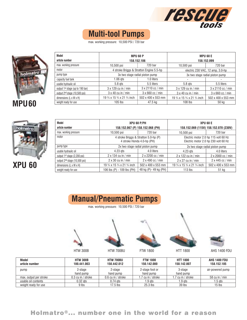

**MPU 60 E 158.152.099**

> 5.5 liters 3 x 2110 cc / min 3 x 660 cc / min 502 x 400 x 553 mm 50 kg

10,500 psi 720 bar electric 230 VAC, 12 amp, 3.0-hp 3x two stage radial piston pump

5.8 qts 3 x 129 cu in / min 3 x 40 cu in / min 19 ¾ x 15 ¾ x 21 ¾ inch 108 lbs

# **Multi-tool Pumps**

max. working pressure: 10,500 PSI / 720 bar

5.8 qts 3 x 129 cu in / min 3 x 40 cu in / min 19 ¾ x 15 ¾ x 21 ¾ inch 105 lbs

10,500 psi 720 bar 4 stroke Briggs & Stratton Engine 5.5-hp 3x two stage radial piston pump

**MPU 60 P 158.152.106**

capacity fuel tank 1.06 qts 1.0 liters - -



**Model article number** max. working pressure

motor pump type

usable hydraulic oil output 1st stage (up to 190 bar) output 2nd stage (10,500 psi) dimensions (L x W x H) weight ready for use



| Model<br>article number                   |                                                     | XPU 60 P/PH<br>158.152.067 (P) 158.152.068 (PH)                     | <b>XPU 60 E</b><br>158.152.069 (115V) 158.152.070 (230V) |                                                                              |  |
|-------------------------------------------|-----------------------------------------------------|---------------------------------------------------------------------|----------------------------------------------------------|------------------------------------------------------------------------------|--|
| max. working pressure                     | $10,500$ psi                                        | 720 bar                                                             | $10,500$ psi                                             | 720 bar                                                                      |  |
| motor                                     |                                                     | 4 stroke Briggs & Stratton 5.0-hp (P)<br>4 stroke Honda 4.0-hp (PH) |                                                          | Electric motor 2.0 hp 115 volt 60 Hz<br>Electric motor 2.0 hp 230 volt 60 Hz |  |
| pump type                                 |                                                     | 2x two stage radial piston pump                                     |                                                          | 2x two stage radial piston pump                                              |  |
| usable hydraulic oil                      | 4.23 gts                                            | 4.0 liters                                                          | $4.23$ gts                                               | 4.0 liters                                                                   |  |
| output 1 <sup>st</sup> stage (2,200 psi)  | $2 \times 134$ cu in / min                          | 2 x 2200 cc / min                                                   | $2 \times 122$ cu in / min                               | 2 x 2000 cc / min                                                            |  |
| output 2 <sup>nd</sup> stage (10,500 psi) | 2 x 490 cc / min<br>$2 \times 30$ cu in / min       |                                                                     | $2 \times 27$ cu in / min                                | 2 x 445 cc / min                                                             |  |
| dimensions $(L \times W \times H)$        | 19 3/4 x 15 3/4 x 21 3/4 inch<br>502 x 400 x 553 mm |                                                                     | 19 3/4 x 15 3/4 x 21 3/4 inch                            | 502 x 400 x 553 mm                                                           |  |
| weight ready for use                      | 106 lbs (P) - 109 lbs (PH)                          | 48 kg (P) - 49 kg (PH)                                              | $113$ lbs                                                | 51 kg                                                                        |  |

5.5 liters 3 x 2110 cc / min 3 x 660 cc / min 502 x 400 x 553 mm 47.5 kg



max. working pressure: 10,500 PSI / 720 bar











HTW 300B HTW 700BU FTW 1800 HTT 1800 AHS 1400 FDU

| <b>Model</b><br>article number | <b>HTW 300B</b><br>100.441.003 | HTW 700BU<br>150.442.012 | <b>FTW 1800</b><br>150.142.000 | <b>HTT 1800</b><br>150.142.007 | <b>AHS 1400 FDU</b><br>158.152.105 |
|--------------------------------|--------------------------------|--------------------------|--------------------------------|--------------------------------|------------------------------------|
| pump                           | 2-stage<br>hand pump           | 2-stage<br>hand pump     | 2-stage foot or<br>hand pump   | 3-stage<br>hand pump           | air-powered pump                   |
| max. output per stroke         | 0.3 cu in / stroke             | 0.6 cu in / stroke       | 1.7 cu in / stroke             | .7 cu in / stroke              | 58 cu in $/$ min                   |
| usable oil contents            | $0.32$ ats                     | $0.74$ ats               | 1.9 gts                        | 1.9 ats                        | 1.5 gts                            |
| weight ready for use           | 9 lbs                          | $17.5$ lbs               | 25.3 lbs                       | 39 lbs                         | $15$ lbs                           |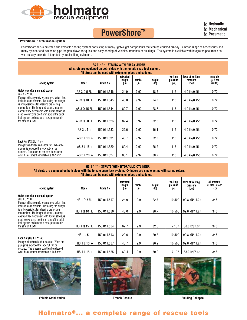

## **PowerShore™**



#### **PowerShoreTM Stabilization System**

PowerShore™ is a patented and versatile shoring system consisting of many lightweight components that can be coupled quickly. A broad range of accessories and many cylinder and extension pipe lengths allows for quick and easy shoring of vehicles, trenches or buildings. The system is available with integrated pneumatic as well as very powerful integrated hydraulic lifting cylinders.

| AS 3 * ** - STRUTS WITH AIR CYLINDER<br>All struts are equipped on both sides with the female snap-lock system.<br>All struts can be used with extension pipes and saddles.                                              |               |             |      |      |      |     |              |      |
|--------------------------------------------------------------------------------------------------------------------------------------------------------------------------------------------------------------------------|---------------|-------------|------|------|------|-----|--------------|------|
| working<br>force at working<br>max. air<br>retracted<br>weight<br>$@8$ bar<br>length<br>stroke<br>pressure<br>pressure<br>Model<br>Article No.<br>(in)<br>(kN/t)<br>(cu.fit.)<br>locking system<br>(Ib)<br>(in)<br>(psi) |               |             |      |      |      |     |              |      |
| Quick lock with integrated spacer<br>$(AS 3 0 ** FL)$                                                                                                                                                                    | AS 3 Q 5 FL   | 150.011.546 | 24.9 | 9.92 | 18.5 | 116 | 4.0 kN/0.45t | 0.72 |
| Plunger with automatic locking mechanism that<br>locks in steps of 9 mm. Retracting the plunger                                                                                                                          | AS 3 Q 10 FL  | 150.011.545 | 43.0 | 9.92 | 24.7 | 116 | 4.0 kN/0.45t | 0.72 |
| is only possible after releasing the locking<br>mechanism. The integrated spacer, a spring<br>operated flex mechanism with 13mm stroke, is                                                                               | AS 3 Q 15 FL  | 150.011.544 | 62.7 | 9.92 | 28.7 | 116 | 4.0 kN/0.45t | 0.72 |
| used to overcome one 9 mm step of the quick<br>lock system and creates a max. pretension in<br>the strut of 4.0kN.                                                                                                       | AS 3 Q 20 FL  | 150.011.526 | 82.4 | 9.92 | 32.6 | 116 | 4.0 kN/0.45t | 0.72 |
|                                                                                                                                                                                                                          | AS $3L5+$     | 150.011.532 | 22.6 | 9.92 | 16.1 | 116 | 4.0 kN/0.45t | 0.72 |
|                                                                                                                                                                                                                          | AS $3L10 +$   | 150.011.531 | 40.7 | 9.92 | 22.3 | 116 | 4.0 kN/0.45t | 0.72 |
| Lock Nut (AS $2 L***$ +)<br>Plunger with thread and a lock nut. When the<br>plunger is extended the lock nut can be                                                                                                      | AS 3 L 15 $+$ | 150.011.529 | 60.4 | 9.92 | 26.2 | 116 | 4.0 kN/0.45t | 0.72 |
| secured. The pressure can then be released.<br>Axial displacement per rotation is 16.5 mm.                                                                                                                               | AS 3 L 20 $+$ | 150.011.527 | 80.1 | 9.92 | 30.2 | 116 | 4.0 kN/0.45t | 0.72 |

| HS 1 * ** - STRUTS WITH HYDRAULIC CYLINDER<br>All struts are equipped on both sides with the female snap-lock system. Cylinders are single acting with spring return.<br>All struts can be used with extension pipes and saddles.                                                                                                            |                     |             |                             |                |                             |                              |                                        |                                        |
|----------------------------------------------------------------------------------------------------------------------------------------------------------------------------------------------------------------------------------------------------------------------------------------------------------------------------------------------|---------------------|-------------|-----------------------------|----------------|-----------------------------|------------------------------|----------------------------------------|----------------------------------------|
| locking system                                                                                                                                                                                                                                                                                                                               | Model               | Article No. | retracted<br>length<br>(in) | stroke<br>(in) | weight<br>(I <sub>b</sub> ) | working<br>pressure<br>(psi) | force at working<br>pressure<br>(kN/t) | oil contents<br>at max. stroke<br>(cc) |
| Quick lock with integrated spacer<br>(HS 1 Q ** FL)                                                                                                                                                                                                                                                                                          | <b>HS105FL</b>      | 150.011.547 | 24.9                        | 9.9            | 22.7                        | 10.500                       | 99.8 kN/11.2 t                         | 346                                    |
| Plunger with automatic locking mechanism that<br>locks in steps of 9 mm. Retracting the plunger<br>is only possible after releasing the locking<br>mechanism. The integrated spacer, a spring<br>operated flex mechanism with 13mm stroke, is<br>used to overcome one 9 mm step of the quick<br>lock system and creates a max. pretension in | <b>HS 1 Q 10 FL</b> | 150.011.536 | 43.0                        | 9.9            | 28.7                        | 10,500                       | 99.8 kN/11.2 t                         | 346                                    |
|                                                                                                                                                                                                                                                                                                                                              | HS 1 Q 15 FL        | 150.011.534 | 62.7                        | 9.9            | 32.6                        | 7,107                        | 68.0 kN/7.6 t                          | 346                                    |
| the strut of 4.0kN.                                                                                                                                                                                                                                                                                                                          |                     |             |                             |                |                             |                              |                                        |                                        |
| Lock Nut (HS 1 L $**$ +)                                                                                                                                                                                                                                                                                                                     | HS $1 L 5 +$        | 150.011.543 | 22.6                        | 9.9            | 20.3                        | 10,500                       | 99.8 kN/11.2 t                         | 346                                    |
| Plunger with thread and a lock nut. When the<br>plunger is extended the lock nut can be<br>secured. The pressure can then be released.<br>Axial displacement per rotation is 16.5 mm.                                                                                                                                                        | HS 1 L 10 $+$       | 150.011.537 | 40.7                        | 9.9            | 26.2                        | 10,500                       | 99.8 kN/11.2 t                         | 346                                    |
|                                                                                                                                                                                                                                                                                                                                              | HS 1 L 15 $+$       | 150.011.535 | 60.4                        | 9.9            | 30.2                        | 7,107                        | 68.0 kN/7.6 t                          | 346                                    |



Vehicle Stabilization **Network Stabilization** Trench Rescue **Building Collapse** Building Collapse



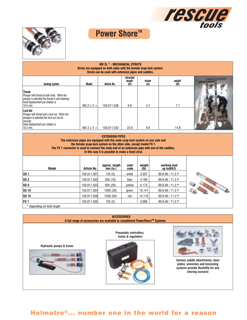



# **Power Shore™**

| <b>MS 2L * - MECHANICAL STRUTS</b><br>Struts are equipped on both sides with the female snap-lock system.<br>Struts can be used with extension pipes and saddles.  |              |             |                             |                |                |  |
|--------------------------------------------------------------------------------------------------------------------------------------------------------------------|--------------|-------------|-----------------------------|----------------|----------------|--|
| locking system                                                                                                                                                     | Model        | Article No. | retracted<br>length<br>(in) | stroke<br>(in) | weight<br>(Ib) |  |
| <b>Thread</b><br>Plunger with thread at both ends. When the<br>plunger is extended the thread is self-retaining.<br>Axial displacement per rotation is<br>16.5 mm. | $MS$ 2 L 2 + | 150.011.538 | 9.8                         | 4.7            | 7.7            |  |
| Lock Nut<br>Plunger with thread and a lock nut. When the<br>plungers is extended the lock nut can be<br>secured.<br>Axial displacement per rotation is<br>16.5 mm. | $MS$ 2 L 5 + | 150.011.533 | 22.6                        | 9.9            | 14.8           |  |

|                             | The extension pipes are equipped with the male snap-lock system on one side and<br>the female snap-lock system on the other side, except model FX 1. | <b>EXTENSION PIPES</b><br>In this way it is possible to make a fixed strut. |               |                | The FX 1 connector is used to connect the male end of an extension pipe with one of the saddles. |  |
|-----------------------------|------------------------------------------------------------------------------------------------------------------------------------------------------|-----------------------------------------------------------------------------|---------------|----------------|--------------------------------------------------------------------------------------------------|--|
| Model                       | Article No.                                                                                                                                          | approx. length<br>$mm$ (in.)                                                | color<br>code | weight<br>(lb) | working load<br>up to $(kN/t)$                                                                   |  |
| SX <sub>1</sub>             | 150.011.501                                                                                                                                          | 125(5)                                                                      | white         | 3.307          | 99.8 kN / 11.2 t*                                                                                |  |
| SX <sub>2</sub>             | 150.011.502                                                                                                                                          | 250(10)                                                                     | blue          | 4.189          | 99.8 kN / 11.2 t*                                                                                |  |
| SX 5                        | 150.011.503                                                                                                                                          | 500(20)                                                                     | yellow        | 6.173          | 99.8 kN / 11.2 t*                                                                                |  |
| <b>SX 10</b>                | 150.011.504                                                                                                                                          | 1000 (39)                                                                   | green         | 10.141         | 99.8 kN / 11.2 t*                                                                                |  |
| <b>SX 15</b>                | 150.011.506                                                                                                                                          | 1500 (59)                                                                   | red           | 14.110         | 99.8 kN / 11.2 t*                                                                                |  |
| <b>FX1</b>                  | 150.011.505                                                                                                                                          | 125(5)                                                                      |               | 3.086          | 99.8 kN / 11.2 t*                                                                                |  |
| * depending on total length |                                                                                                                                                      |                                                                             |               |                |                                                                                                  |  |

#### **ACCESSORIES A full range of accessories are available to compliment PowerShoreTM Systems**

**Hydraulic pumps & hoses**



**Pneumatic controllers, hoses & regulators**





**Various saddle attachments, base plates, wrenches and tensioning systems provide flexibility for any shoring scenario**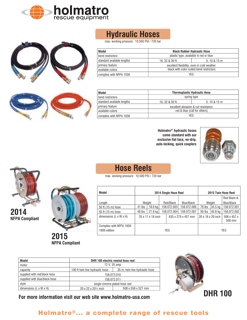





# **Hydraulic Hoses**

max. working pressure: 10,500 PSI / 720 bar

| Model                      | <b>Black Rubber Hydraulic Hose</b>          |  |  |  |  |  |
|----------------------------|---------------------------------------------|--|--|--|--|--|
| bend restrictors           | plastic type, available in red or blue      |  |  |  |  |  |
| standard available lengths | 5.10 & 15m<br>16, 32 & 50 ft.               |  |  |  |  |  |
| primary feature            | excellent flexibility, even in cold weather |  |  |  |  |  |
| available colors           | black with color coded bend restrictors     |  |  |  |  |  |
| complies with NFPA 1936    | YES                                         |  |  |  |  |  |

| Model                      | <b>Thermoplastic Hydraulic Hose</b> |                                     |  |  |  |  |
|----------------------------|-------------------------------------|-------------------------------------|--|--|--|--|
| bend restrictors           | spring type                         |                                     |  |  |  |  |
| standard available lengths | 16.32 & 50 ft.                      | 5.10 & 15m                          |  |  |  |  |
| primary feature            |                                     | excellent abrasion & cut resistance |  |  |  |  |
| available colors           | red & blue (call for others)        |                                     |  |  |  |  |
| complies with NFPA 1936    | YES                                 |                                     |  |  |  |  |

**Holmatro® hydraulic hoses come standard with our exclusive flat face, no-drip, auto-locking, quick couplers**



# **Hose Reels**

max. working pressure: 10,500 PSI / 720 bar

| Model                              | 2014 Single Hose Reel |                   |             |           |                    |        |                   | 2015 Twin Hose Reel   |
|------------------------------------|-----------------------|-------------------|-------------|-----------|--------------------|--------|-------------------|-----------------------|
|                                    |                       |                   |             |           |                    |        |                   | Red Black &           |
| Length                             |                       | Weight            |             | Red/Black | Blue/Black         | Weight |                   | Blue/Black            |
| 50 ft (15 m) hose                  | 41 lbs                | $18.6$ kg         | 158.072.003 |           | 158.072.006        | 76 lbs | 34.5 kg           | 158.072.001           |
| 65 ft (15 m) hose                  | 48 lbs                | $21.8$ kg         | 158.072.004 |           | 158.072.007        | 90 lbs | 40.8 kg           | 158.072.002           |
| dimensions $(L \times W \times H)$ |                       | 25 x 11 x 18 inch |             |           | 635 x 279 x 457 mm |        | 20 x 18 x 20 inch | 508 x 457 x<br>508 mm |
| Complies with NFPA 1936            |                       |                   |             |           |                    |        |                   |                       |
| 1999 edition                       | <b>YES</b>            |                   |             |           |                    |        | <b>YES</b>        |                       |

| Model                              |                                 | DHR 100 electric rewind hose reel |  |  |  |  |  |
|------------------------------------|---------------------------------|-----------------------------------|--|--|--|--|--|
| motor                              |                                 | 12 V, 35 amp                      |  |  |  |  |  |
| capacity                           | 100 ft twin line hydraulic hose | 35 m, twin line hydraulic hose    |  |  |  |  |  |
| supplied with red/black hose       |                                 | 158.072.010                       |  |  |  |  |  |
| supplied with blue/black hose      |                                 | 158.072.011                       |  |  |  |  |  |
| style                              | single chrome plated hose reel  |                                   |  |  |  |  |  |
| dimensions $(L \times W \times H)$ | 20 x 22 x 201/2 inch            | 508 x 558 x 521 mm                |  |  |  |  |  |



**For more information visit our web site www.holmatro-usa.com**

#### Holmatro®... a complete range of rescue tools





**2015 NFPA Compliant**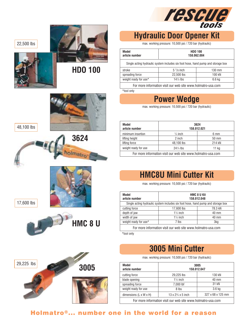

# **Hydraulic Door Opener Kit**

max. working pressure: 10,500 psi / 720 bar (hydraulic)

| Model<br>article number | <b>HDO 100</b><br>158.062.004                                                    |        |  |  |  |  |
|-------------------------|----------------------------------------------------------------------------------|--------|--|--|--|--|
|                         | Single acting hydraulic system includes six foot hose, hand pump and storage box |        |  |  |  |  |
| stroke                  | $5\frac{1}{8}$ inch<br>$130$ mm                                                  |        |  |  |  |  |
| spreading force         | 22,500 lbs                                                                       | 100 kN |  |  |  |  |
| weight ready for use*   | $14\frac{1}{2}$ lbs<br>$6.6$ kg                                                  |        |  |  |  |  |

For more information visit our web site www.holmatro-usa.com

\*tool only

# **Power Wedge**

max. working pressure: 10,500 psi / 720 bar (hydraulic)

| Model<br>article number                                      | 3624<br>158.012.021 |        |  |  |  |
|--------------------------------------------------------------|---------------------|--------|--|--|--|
| minimum insertion                                            | $\frac{1}{4}$ inch  | 6 mm   |  |  |  |
| lifting height                                               | 2 inch              | 50 mm  |  |  |  |
| lifting force                                                | 48,100 lbs          | 214 kN |  |  |  |
| weight ready for use                                         | $24\frac{1}{4}$ lbs | 11 kg  |  |  |  |
| For more information visit our web site www.holmatro-usa.com |                     |        |  |  |  |

# **HMC8U Mini Cutter Kit**

max. working pressure: 10,500 psi / 720 bar (hydraulic)

| Model<br>article number                                                                     | <b>HMC 8 U Kit</b><br>158.012.048 |         |  |  |  |
|---------------------------------------------------------------------------------------------|-----------------------------------|---------|--|--|--|
| Single acting hydraulic system includes six foot hose, hand pump and storage box            |                                   |         |  |  |  |
| cutting force                                                                               | 17,600 lbs                        | 78.3 kN |  |  |  |
| depth of jaw                                                                                | $1\frac{1}{2}$ inch               | 40 mm   |  |  |  |
| width of jaw                                                                                | $1\frac{1}{2}$ inch               | 40 mm   |  |  |  |
| weight ready for use*                                                                       | 7 lbs                             | 3kg     |  |  |  |
| Formations that shows substantially send the later than the second second control of second |                                   |         |  |  |  |

For more information visit our web site www.holmatro-usa.com

\*tool only

## **3005 Mini Cutter**

max. working pressure: 10,500 psi / 720 bar (hydraulic)

| Model<br>article number                                      | 3005<br>158.012.047                    |                   |  |  |  |
|--------------------------------------------------------------|----------------------------------------|-------------------|--|--|--|
|                                                              |                                        |                   |  |  |  |
| cutting force                                                | 29,225 lbs                             | 130 kN            |  |  |  |
| blade opening                                                | $1\%$ inch                             | 40 mm             |  |  |  |
| spreading force                                              | 7,000 lbf                              | 31 kN             |  |  |  |
| weight ready for use                                         | 8 lbs                                  | 3.6 <sub>kg</sub> |  |  |  |
| dimensions $(L \times W \times H)$                           | $13 \times 2\frac{3}{4} \times 5$ inch | 327 x 68 x 125 mm |  |  |  |
| For more information visit our web site www.holmatro-usa.com |                                        |                   |  |  |  |

# Holmatro®... number one in the world for a reason



22,500 lbs





**HDO 100**

48,100 lbs

17,600 lbs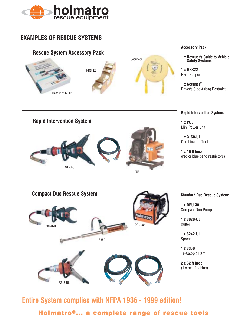

#### **EXAMPLES OF RESCUE SYSTEMS**





**Accessory Pack:**

**1 x Rescuer's Guide to Vehicle Safety Systems**

**1 x HRS22** Ram Support

**1 x Secunet®** Driver's Side Airbag Restraint

#### **Rapid Intervention System:**

**1 x PU5** Mini Power Unit

**1 x 3150-UL** Combination Tool

**1 x 16 ft hose** (red or blue bend restrictors)



**1 x DPU-30** Compact Duo Pump

**1 x 3020-UL Cutter** 

**1 x 3242-UL** Spreader

**1 x 3350** Telescopic Ram

**2 x 32 ft hose**  $(1 x red, 1 x blue)$ 

### **Entire System complies with NFPA 1936 - 1999 edition!**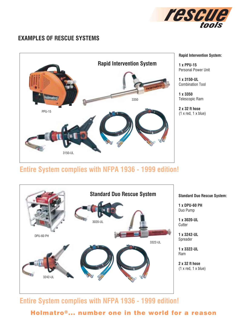

#### **EXAMPLES OF RESCUE SYSTEMS**



**Rapid Intervention System:**

**1 x PPU-15** Personal Power Unit

**1 x 3150-UL** Combination Tool

**1 x 3350** Telescopic Ram

**2 x 32 ft hose**  $(1 x red, 1 x blue)$ 

### **Entire System complies with NFPA 1936 - 1999 edition!**



**Entire System complies with NFPA 1936 - 1999 edition!**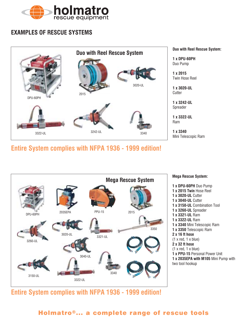

#### **EXAMPLES OF RESCUE SYSTEMS**



**Entire System complies with NFPA 1936 - 1999 edition!**



Mini Telescopic Ram

**Mega Rescue System: 1 x DPU-60PH** Duo Pump **1 x 2015 Twin** Hose Reel **1 x 3020-UL** Cutter **1 x 3040-UL** Cutter **1 x 3150-UL** Combination Tool **1 x 3260-UL** Spreader **1 x 3321-UL** Ram **1 x 3322-UL** Ram **1 x 3340** Mini Telescopic Ram **1 x 3350** Telescopic Ram **2 x 16 ft hose**  $(1 x red, 1 x blue)$ **2 x 32 ft hose**  $(1 x red, 1 x blue)$ **1 x PPU-15** Personal Power Unit **1 x 2035EPA with M105** Mini Pump with two tool hookup

**Entire System complies with NFPA 1936 - 1999 edition!**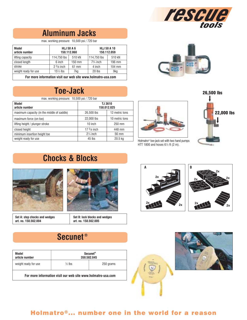

potro

# **Aluminum Jacks**

max. working pressure: 10,500 psi / 720 bar

| Model<br>article number |                            | <b>HLJ 50 A 6</b><br>150.112.060 | <b>HLJ 50 A 10</b><br>150.112.059 |                  |  |
|-------------------------|----------------------------|----------------------------------|-----------------------------------|------------------|--|
| lifting capacity        | 114.750 lbs                | 510 kN                           | 114,750 lbs                       | 510 kN           |  |
| closed length           | 6 inch<br>$150 \text{ mm}$ |                                  | $7\frac{3}{4}$ inch               | $196 \text{ mm}$ |  |
| stroke                  | $2\frac{3}{8}$ inch        | $61$ mm                          | 4 inch                            | $104 \text{ mm}$ |  |
| weight ready for use    | $15\frac{1}{2}$ lbs        | 7kg                              | 20 lbs                            | 9kg              |  |

**For more information visit our web site www.holmatro-usa.com**

## **Toe-Jack**

max. working pressure: 10,500 psi / 720 bar

| Model<br>article number                    | TJ 3610<br>158.012.025 |                |  |
|--------------------------------------------|------------------------|----------------|--|
| maximum capacity (in the middle of saddle) | 26,500 lbs             | 12 metric tons |  |
| maximum force (on toe)                     | 22,000 lbs             | 10 metric tons |  |
| lifting height / plunger stroke            | 10 inch                | $250$ mm       |  |
| closed height                              | 17 $5/8$ inch          | 448 mm         |  |
| minimum insertion height toe               | $2\frac{1}{4}$ inch    | 56 mm          |  |
| weight ready for use                       | 45 lbs                 | 20.5 kg        |  |



Holmatro® toe-jack set with two hand pumps HTT 1800 and hoses 6½ ft (2 m).

26,500 lbs 22,000 lbs

# **Chocks & Blocks**



**Set A: step chocks and wedges art. no. 158.562.004**



**Set B: lock blocks and wedges art. no. 158.562.005**

### **Secunet ®**

| Model<br>article number                                      | Secunet <sup>®</sup><br>350,582,045 |  |  |  |  |
|--------------------------------------------------------------|-------------------------------------|--|--|--|--|
| weight ready for use                                         | $\frac{1}{2}$ lbs<br>250 grams      |  |  |  |  |
| For more information visit our web site www.holmatro-usa.com |                                     |  |  |  |  |







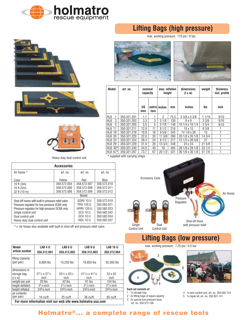







Heavy duty dual control unit

| Shut-off Hose |
|---------------|
|               |

 $*$  = Air hoses also available with built-in shut-off and pressure relief valve.

| Model                                                        | LAB 4 U                                      | LAB <sub>6</sub> U                           | LAB 9 U                            | <b>LAB 16 U</b>      |  |
|--------------------------------------------------------------|----------------------------------------------|----------------------------------------------|------------------------------------|----------------------|--|
| article number                                               | 358.312.001                                  | 358.312.002                                  | 358.312.003                        | 358.312.004          |  |
| lifting capacity<br>(per pair)                               | 8,800 lbs                                    | 13,250 lbs                                   | 19.850 lbs                         | 35,300 lbs           |  |
| dimensions in<br>storage bag<br>$(1 \times W)$               | $27\frac{1}{2} \times 27\frac{1}{2}$<br>inch | $33\frac{1}{2} \times 33\frac{1}{2}$<br>inch | $41^{1/3} \times 41^{1/3}$<br>inch | 52 x 52<br>inch      |  |
| weight per pair                                              | $20$ lbs                                     | 42 lbs                                       | 61 lbs                             | $154$ lbs            |  |
| height deflated                                              | $21/3$ inch                                  | $2^{1/3}$ inch                               | $21/3$ inch                        | $21/3$ inch          |  |
| height inflated                                              | $243/8$ inch                                 | $243/8$ inch                                 | $243/8$ inch                       | $\sqrt{24^3}/8$ inch |  |
| air contents<br>(per pair)                                   | 16 cu/ft                                     | 25 cu/ft                                     | 36 cu/ft                           | $65 \text{ cu/ft}$   |  |
| For more information visit our web site www.holmatro-usa.com |                                              |                                              |                                    |                      |  |

**Lifting Bags (high pressure)**

max. working pressure: 116 psi / 8 bar





| Model                            | art. no.    | nominal<br>capacity |      | max. inflation<br>height |      | dimensions<br>$(1 \times w)$ | weight | <b>thickness</b><br>incl. profile |
|----------------------------------|-------------|---------------------|------|--------------------------|------|------------------------------|--------|-----------------------------------|
|                                  |             | <b>US</b><br>tons   | tons | metric inches            | mm   | inches                       | lbs    | inch                              |
| <b>HLB</b><br>1                  | 350.321.201 | 1.1                 |      | 2                        | 75.5 | 5 3/8 x 5 3/8                | 11/10  | 9/10                              |
| <b>HLB</b><br>3                  | 350.321.203 | 3.3                 | 3    | 51/8                     | 130  | $9 \times 9$                 | 33/8   | 9/10                              |
| <b>HLB</b><br>5                  | 350.321.205 | 5.5                 | 5    | 57/8                     | 148  | 10 1/4 x 10 1/4              | 33/4   | 9/10                              |
| <b>HLB</b><br>11                 | 350.321.211 | 12.0                | 11   | 81/2                     | 216  | 15 x 15                      | 83/8   |                                   |
| HLB 18                           | 350.321.218 | 19.8                | 18   | 95/8                     | 245  | 14 1/8 x 26                  | 15     |                                   |
| HLB 20                           | 350.321.220 | 22.0                | 20   | 113/8                    | 290  | 20 1/8 x 20 1/8              | 14 3/4 |                                   |
| HLB 24                           | 350.321.224 | 26.4                | 24   | 81/2                     | 217  | 12 1/2 x 39 3/8              | 21     |                                   |
| HLB 29                           | 350.321.229 | 31.9                | 29   | 133/4                    | 348  | 24 x 24                      | 215/8  |                                   |
| <b>HLB 40*</b>                   | 350.321.240 | 44.0                | 40   | 16                       | 405  | 28 1/8 x 28 1/8              | 331/4  |                                   |
| HLB 67*l                         | 350.321.267 | 73.7                | 67   | 201/2                    | 521  | 36 1/8 x 36 1/8              | 51 7/8 |                                   |
| $*$ ounnliad with corning otropo |             |                     |      |                          |      |                              |        |                                   |





# **Lifting Bags (low pressure)**

max. working pressure: 7.25 psi / 0.5 bar



#### **Each set consists of:**

1 1x storage bag

- 2 2x lifting bags of equal capacity
- 3 2x special low pressure hose, art. no. 350.572.106

4 1x twin control unit, art. no. 350.582.124

5 1x repair kit, art. no. 350.581.141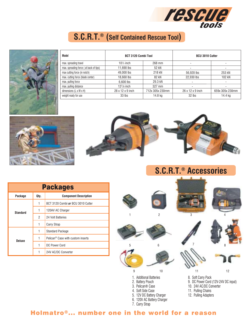

# **S.C.R.T.® (Self Contained Rescue Tool)**



| Model                                  | <b>BCT 3120 Combi Tool</b>   |                 | <b>BCU 3010 Cutter</b>       |                 |
|----------------------------------------|------------------------------|-----------------|------------------------------|-----------------|
| max. spreading travel                  | $10\frac{1}{2}$ inch         | 268 mm          |                              |                 |
| max. spreading force (at back of tips) | 11,690 lbs                   | 52 kN           | -                            |                 |
| max cutting force (in notch)           | 49,000 lbs                   | 218 kN          | 56.920 lbs                   | 253 kN          |
| max. cutting force (blade center)      | 18,660 lbs                   | 82 kN           | 22,930 lbs                   | 102 kN          |
| max. pulling force                     | 6.600 lbs                    | 29.3 kN         | ۰                            |                 |
| max. pulling distance                  | $127/8$ inch                 | 327 mm          | -                            |                 |
| dimensions (L x W x H)                 | $28 \times 12 \times 9$ inch | 712x 305x 230mm | $26 \times 12 \times 9$ inch | 659x 305x 230mm |
| weight ready for use                   | 33 lbs                       | 14.8 kg         | $32$ lbs                     | 14.4 kg         |





**S.C.R.T.® Accessories**

| <b>Packages</b> |                |                                               |  |  |
|-----------------|----------------|-----------------------------------------------|--|--|
| Package         | Qty.           | <b>Component Description</b>                  |  |  |
| Standard        | 1              | BCT 3120 Combi or BCU 3010 Cutter             |  |  |
|                 | 1              | 120AV AC Charger                              |  |  |
|                 | $\overline{2}$ | 24 Volt Batteries                             |  |  |
|                 | 1              | Carry Strap                                   |  |  |
| <b>Deluxe</b>   | 1              | <b>Standard Package</b>                       |  |  |
|                 | 1              | Pelican <sup>®</sup> Case with custom inserts |  |  |
|                 | $\mathbf{1}$   | DC Power Cord                                 |  |  |
|                 |                | 24V AC/DC Converter                           |  |  |